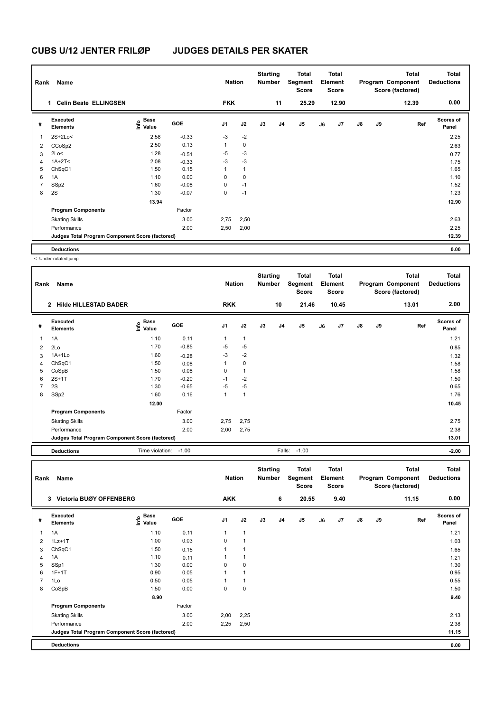| Rank           | Name                                            |                                  |         | <b>Nation</b>  |              | <b>Starting</b><br><b>Number</b> |                | <b>Total</b><br>Segment<br>Score |    | <b>Total</b><br>Element<br><b>Score</b> |               |    | <b>Total</b><br>Program Component<br>Score (factored) | <b>Total</b><br><b>Deductions</b> |
|----------------|-------------------------------------------------|----------------------------------|---------|----------------|--------------|----------------------------------|----------------|----------------------------------|----|-----------------------------------------|---------------|----|-------------------------------------------------------|-----------------------------------|
|                | <b>Celin Beate ELLINGSEN</b><br>1               |                                  |         | <b>FKK</b>     |              |                                  | 11             | 25.29                            |    | 12.90                                   |               |    | 12.39                                                 | 0.00                              |
| #              | Executed<br><b>Elements</b>                     | <b>Base</b><br>o Base<br>⊆ Value | GOE     | J <sub>1</sub> | J2           | J3                               | J <sub>4</sub> | J5                               | J6 | J7                                      | $\mathsf{J}8$ | J9 | Ref                                                   | <b>Scores of</b><br>Panel         |
| $\overline{1}$ | $2S+2Lo<$                                       | 2.58                             | $-0.33$ | $-3$           | $-2$         |                                  |                |                                  |    |                                         |               |    |                                                       | 2.25                              |
| 2              | CCoSp2                                          | 2.50                             | 0.13    | 1              | $\mathbf 0$  |                                  |                |                                  |    |                                         |               |    |                                                       | 2.63                              |
| 3              | 2Lo<                                            | 1.28                             | $-0.51$ | $-5$           | $-3$         |                                  |                |                                  |    |                                         |               |    |                                                       | 0.77                              |
| 4              | $1A+2T2$                                        | 2.08                             | $-0.33$ | $-3$           | $-3$         |                                  |                |                                  |    |                                         |               |    |                                                       | 1.75                              |
| 5              | ChSqC1                                          | 1.50                             | 0.15    | 1              | $\mathbf{1}$ |                                  |                |                                  |    |                                         |               |    |                                                       | 1.65                              |
| 6              | 1A                                              | 1.10                             | 0.00    | 0              | $\mathbf 0$  |                                  |                |                                  |    |                                         |               |    |                                                       | 1.10                              |
| $\overline{7}$ | SSp2                                            | 1.60                             | $-0.08$ | 0              | $-1$         |                                  |                |                                  |    |                                         |               |    |                                                       | 1.52                              |
| 8              | 2S                                              | 1.30                             | $-0.07$ | 0              | $-1$         |                                  |                |                                  |    |                                         |               |    |                                                       | 1.23                              |
|                |                                                 | 13.94                            |         |                |              |                                  |                |                                  |    |                                         |               |    |                                                       | 12.90                             |
|                | <b>Program Components</b>                       |                                  | Factor  |                |              |                                  |                |                                  |    |                                         |               |    |                                                       |                                   |
|                | <b>Skating Skills</b>                           |                                  | 3.00    | 2,75           | 2,50         |                                  |                |                                  |    |                                         |               |    |                                                       | 2.63                              |
|                | Performance                                     |                                  | 2.00    | 2,50           | 2,00         |                                  |                |                                  |    |                                         |               |    |                                                       | 2.25                              |
|                | Judges Total Program Component Score (factored) |                                  |         |                |              |                                  |                |                                  |    |                                         |               |    |                                                       | 12.39                             |
|                | <b>Deductions</b>                               |                                  |         |                |              |                                  |                |                                  |    |                                         |               |    |                                                       | 0.00                              |

< Under-rotated jump

| Rank           | Name                                            |                                           |            | <b>Nation</b>  |                | <b>Starting</b><br><b>Number</b> |                | Total<br>Segment<br><b>Score</b> |    | <b>Total</b><br>Element<br><b>Score</b> |               |    | <b>Total</b><br>Program Component<br>Score (factored) | <b>Total</b><br><b>Deductions</b> |
|----------------|-------------------------------------------------|-------------------------------------------|------------|----------------|----------------|----------------------------------|----------------|----------------------------------|----|-----------------------------------------|---------------|----|-------------------------------------------------------|-----------------------------------|
|                | <b>Hilde HILLESTAD BADER</b><br>$\overline{2}$  |                                           |            | <b>RKK</b>     |                |                                  | 10             | 21.46                            |    | 10.45                                   |               |    | 13.01                                                 | 2.00                              |
| #              | Executed<br><b>Elements</b>                     | $\frac{e}{E}$ Base<br>$\frac{E}{E}$ Value | <b>GOE</b> | J <sub>1</sub> | J2             | J3                               | J <sub>4</sub> | J <sub>5</sub>                   | J6 | J7                                      | $\mathsf{J}8$ | J9 | Ref                                                   | <b>Scores of</b><br>Panel         |
| $\mathbf{1}$   | 1A                                              | 1.10                                      | 0.11       | 1              | $\overline{1}$ |                                  |                |                                  |    |                                         |               |    |                                                       | 1.21                              |
| 2              | 2Lo                                             | 1.70                                      | $-0.85$    | $-5$           | $-5$           |                                  |                |                                  |    |                                         |               |    |                                                       | 0.85                              |
| 3              | $1A+1Lo$                                        | 1.60                                      | $-0.28$    | $-3$           | $-2$           |                                  |                |                                  |    |                                         |               |    |                                                       | 1.32                              |
| $\overline{4}$ | ChSqC1                                          | 1.50                                      | 0.08       | 1              | 0              |                                  |                |                                  |    |                                         |               |    |                                                       | 1.58                              |
| 5              | CoSpB                                           | 1.50                                      | 0.08       | 0              | $\mathbf{1}$   |                                  |                |                                  |    |                                         |               |    |                                                       | 1.58                              |
| 6              | $2S+1T$                                         | 1.70                                      | $-0.20$    | $-1$           | $-2$           |                                  |                |                                  |    |                                         |               |    |                                                       | 1.50                              |
| $\overline{7}$ | 2S                                              | 1.30                                      | $-0.65$    | $-5$           | $-5$           |                                  |                |                                  |    |                                         |               |    |                                                       | 0.65                              |
| 8              | SSp2                                            | 1.60                                      | 0.16       | 1              | $\overline{1}$ |                                  |                |                                  |    |                                         |               |    |                                                       | 1.76                              |
|                |                                                 | 12.00                                     |            |                |                |                                  |                |                                  |    |                                         |               |    |                                                       | 10.45                             |
|                | <b>Program Components</b>                       |                                           | Factor     |                |                |                                  |                |                                  |    |                                         |               |    |                                                       |                                   |
|                | <b>Skating Skills</b>                           |                                           | 3.00       | 2,75           | 2,75           |                                  |                |                                  |    |                                         |               |    |                                                       | 2.75                              |
|                | Performance                                     |                                           | 2.00       | 2,00           | 2,75           |                                  |                |                                  |    |                                         |               |    |                                                       | 2.38                              |
|                | Judges Total Program Component Score (factored) |                                           |            |                |                |                                  |                |                                  |    |                                         |               |    |                                                       | 13.01                             |
|                | <b>Deductions</b>                               | Time violation:                           | $-1.00$    |                |                |                                  | Falls:         | $-1.00$                          |    |                                         |               |    |                                                       | $-2.00$                           |

| Rank           | Name                                            |                           |            | <b>Nation</b>  |                | <b>Starting</b><br><b>Number</b> |    | <b>Total</b><br>Segment<br><b>Score</b> |    | Total<br>Element<br><b>Score</b> |               |    | <b>Total</b><br>Program Component<br>Score (factored) | <b>Total</b><br><b>Deductions</b> |
|----------------|-------------------------------------------------|---------------------------|------------|----------------|----------------|----------------------------------|----|-----------------------------------------|----|----------------------------------|---------------|----|-------------------------------------------------------|-----------------------------------|
|                | <b>Victoria BUØY OFFENBERG</b><br>3             |                           |            | <b>AKK</b>     |                |                                  | 6  | 20.55                                   |    | 9.40                             |               |    | 11.15                                                 | 0.00                              |
| #              | Executed<br><b>Elements</b>                     | Base<br>e Base<br>E Value | <b>GOE</b> | J <sub>1</sub> | J2             | J3                               | J4 | J <sub>5</sub>                          | J6 | J7                               | $\mathsf{J}8$ | J9 | Ref                                                   | <b>Scores of</b><br>Panel         |
| $\mathbf{1}$   | 1A                                              | 1.10                      | 0.11       | 1              | $\overline{1}$ |                                  |    |                                         |    |                                  |               |    |                                                       | 1.21                              |
| 2              | $1Lz+1T$                                        | 1.00                      | 0.03       | 0              |                |                                  |    |                                         |    |                                  |               |    |                                                       | 1.03                              |
| 3              | ChSqC1                                          | 1.50                      | 0.15       | 1              |                |                                  |    |                                         |    |                                  |               |    |                                                       | 1.65                              |
| $\overline{4}$ | 1A                                              | 1.10                      | 0.11       |                |                |                                  |    |                                         |    |                                  |               |    |                                                       | 1.21                              |
| 5              | SSp1                                            | 1.30                      | 0.00       | $\Omega$       | $\mathbf 0$    |                                  |    |                                         |    |                                  |               |    |                                                       | 1.30                              |
| 6              | $1F+1T$                                         | 0.90                      | 0.05       |                |                |                                  |    |                                         |    |                                  |               |    |                                                       | 0.95                              |
| $\overline{7}$ | 1Lo                                             | 0.50                      | 0.05       |                | 1              |                                  |    |                                         |    |                                  |               |    |                                                       | 0.55                              |
| 8              | CoSpB                                           | 1.50                      | 0.00       | 0              | 0              |                                  |    |                                         |    |                                  |               |    |                                                       | 1.50                              |
|                |                                                 | 8.90                      |            |                |                |                                  |    |                                         |    |                                  |               |    |                                                       | 9.40                              |
|                | <b>Program Components</b>                       |                           | Factor     |                |                |                                  |    |                                         |    |                                  |               |    |                                                       |                                   |
|                | <b>Skating Skills</b>                           |                           | 3.00       | 2,00           | 2,25           |                                  |    |                                         |    |                                  |               |    |                                                       | 2.13                              |
|                | Performance                                     |                           | 2.00       | 2,25           | 2,50           |                                  |    |                                         |    |                                  |               |    |                                                       | 2.38                              |
|                | Judges Total Program Component Score (factored) |                           |            |                |                |                                  |    |                                         |    |                                  |               |    |                                                       | 11.15                             |
|                | <b>Deductions</b>                               |                           |            |                |                |                                  |    |                                         |    |                                  |               |    |                                                       | 0.00                              |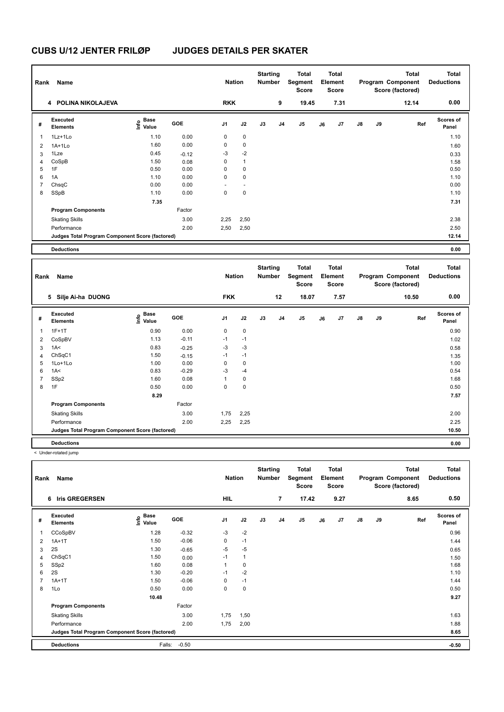| Rank           | Name                                            |                                           |         | <b>Nation</b>        |              | <b>Starting</b><br>Number        |                | <b>Total</b><br>Segment<br><b>Score</b> |    | <b>Total</b><br>Element<br><b>Score</b> |            |    | <b>Total</b><br>Program Component<br>Score (factored) | <b>Total</b><br><b>Deductions</b> |
|----------------|-------------------------------------------------|-------------------------------------------|---------|----------------------|--------------|----------------------------------|----------------|-----------------------------------------|----|-----------------------------------------|------------|----|-------------------------------------------------------|-----------------------------------|
|                | 4 POLINA NIKOLAJEVA                             |                                           |         | <b>RKK</b>           |              |                                  | 9              | 19.45                                   |    | 7.31                                    |            |    | 12.14                                                 | 0.00                              |
| #              | <b>Executed</b><br><b>Elements</b>              | $\frac{e}{E}$ Base<br>$\frac{e}{E}$ Value | GOE     | J <sub>1</sub>       | J2           | J3                               | J4             | J5                                      | J6 | J7                                      | J8         | J9 | Ref                                                   | Scores of<br>Panel                |
| 1              | 1Lz+1Lo                                         | 1.10                                      | 0.00    | 0                    | $\pmb{0}$    |                                  |                |                                         |    |                                         |            |    |                                                       | 1.10                              |
| 2              | $1A+1Lo$                                        | 1.60                                      | 0.00    | 0                    | $\pmb{0}$    |                                  |                |                                         |    |                                         |            |    |                                                       | 1.60                              |
| 3              | 1Lze                                            | 0.45                                      | $-0.12$ | -3                   | $-2$         |                                  |                |                                         |    |                                         |            |    |                                                       | 0.33                              |
| 4              | CoSpB                                           | 1.50                                      | 0.08    | 0                    | $\mathbf{1}$ |                                  |                |                                         |    |                                         |            |    |                                                       | 1.58                              |
| 5              | 1F                                              | 0.50                                      | 0.00    | $\mathbf 0$          | $\mathbf 0$  |                                  |                |                                         |    |                                         |            |    |                                                       | 0.50                              |
| 6              | 1A                                              | 1.10                                      | 0.00    | $\Omega$             | $\mathbf 0$  |                                  |                |                                         |    |                                         |            |    |                                                       | 1.10                              |
| $\overline{7}$ | ChsqC                                           | 0.00                                      | 0.00    | $\ddot{\phantom{1}}$ | $\mathbf{r}$ |                                  |                |                                         |    |                                         |            |    |                                                       | 0.00                              |
| 8              | SSpB                                            | 1.10                                      | 0.00    | $\mathbf 0$          | $\mathbf 0$  |                                  |                |                                         |    |                                         |            |    |                                                       | 1.10                              |
|                |                                                 | 7.35                                      |         |                      |              |                                  |                |                                         |    |                                         |            |    |                                                       | 7.31                              |
|                | <b>Program Components</b>                       |                                           | Factor  |                      |              |                                  |                |                                         |    |                                         |            |    |                                                       |                                   |
|                | <b>Skating Skills</b>                           |                                           | 3.00    | 2,25                 | 2,50         |                                  |                |                                         |    |                                         |            |    |                                                       | 2.38                              |
|                | Performance                                     |                                           | 2.00    | 2,50                 | 2,50         |                                  |                |                                         |    |                                         |            |    |                                                       | 2.50                              |
|                | Judges Total Program Component Score (factored) |                                           |         |                      |              |                                  |                |                                         |    |                                         |            |    |                                                       | 12.14                             |
|                | <b>Deductions</b>                               |                                           |         |                      |              |                                  |                |                                         |    |                                         |            |    |                                                       | 0.00                              |
| Rank           | Name                                            |                                           |         | <b>Nation</b>        |              | <b>Starting</b><br><b>Number</b> |                | <b>Total</b><br>Segment<br><b>Score</b> |    | <b>Total</b><br>Element<br><b>Score</b> |            |    | <b>Total</b><br>Program Component<br>Score (factored) | <b>Total</b><br><b>Deductions</b> |
|                | 5 Silje Ai-ha DUONG                             |                                           |         | <b>FKK</b>           |              |                                  | 12             | 18.07                                   |    | 7.57                                    |            |    | 10.50                                                 | 0.00                              |
| #              | <b>Executed</b><br>Elements                     | <b>Base</b><br>e Base<br>⊆ Value          | GOE     | J1                   | J2           | J3                               | J <sub>4</sub> | $\mathsf{J}5$                           | J6 | J7                                      | ${\sf J8}$ | J9 | Ref                                                   | Scores of<br>Panel                |
| $\mathbf{1}$   | $1F+1T$                                         | 0.90                                      | 0.00    | 0                    | $\pmb{0}$    |                                  |                |                                         |    |                                         |            |    |                                                       | 0.90                              |
| 2              | CoSpBV                                          | 1.13                                      | $-0.11$ | $-1$                 | $-1$         |                                  |                |                                         |    |                                         |            |    |                                                       | 1.02                              |
| 3              | 1A<                                             | 0.83                                      | $-0.25$ | $-3$                 | $-3$         |                                  |                |                                         |    |                                         |            |    |                                                       | 0.58                              |
| 4              | ChSqC1                                          | 1.50                                      | $-0.15$ | $-1$                 | $-1$         |                                  |                |                                         |    |                                         |            |    |                                                       | 1.35                              |
| 5              | 1Lo+1Lo                                         | 1.00                                      | 0.00    | 0                    | $\pmb{0}$    |                                  |                |                                         |    |                                         |            |    |                                                       | 1.00                              |
| 6              | 1A<                                             | 0.83                                      | $-0.29$ | -3                   | $-4$         |                                  |                |                                         |    |                                         |            |    |                                                       | 0.54                              |
| $\overline{7}$ | SSp2                                            | 1.60                                      | 0.08    | $\mathbf{1}$         | $\pmb{0}$    |                                  |                |                                         |    |                                         |            |    |                                                       | 1.68                              |
| 8              | 1F                                              | 0.50                                      | 0.00    | $\mathbf 0$          | $\mathbf 0$  |                                  |                |                                         |    |                                         |            |    |                                                       | 0.50                              |

Performance 2.00 2,25 2,25 2.25 **Judges Total Program Component Score (factored) 10.50**

Skating Skills 1,75 2,25

Factor

**Program Components** 

**Deductions 0.00**

< Under-rotated jump

| Rank           | Name                                            |                                                                               |            | <b>Nation</b>  |              | <b>Starting</b><br><b>Number</b> |                | <b>Total</b><br>Segment<br><b>Score</b> |    | <b>Total</b><br>Element<br><b>Score</b> |               |    | <b>Total</b><br>Program Component<br>Score (factored) | <b>Total</b><br><b>Deductions</b> |
|----------------|-------------------------------------------------|-------------------------------------------------------------------------------|------------|----------------|--------------|----------------------------------|----------------|-----------------------------------------|----|-----------------------------------------|---------------|----|-------------------------------------------------------|-----------------------------------|
|                | 6 Iris GREGERSEN                                |                                                                               |            | <b>HIL</b>     |              |                                  | $\overline{7}$ | 17.42                                   |    | 9.27                                    |               |    | 8.65                                                  | 0.50                              |
| #              | Executed<br><b>Elements</b>                     | $\overset{\circ}{\text{\sf E}}$ Base<br>$\overset{\circ}{\text{\sf E}}$ Value | <b>GOE</b> | J <sub>1</sub> | J2           | J3                               | J <sub>4</sub> | J5                                      | J6 | J <sub>7</sub>                          | $\mathsf{J}8$ | J9 | Ref                                                   | <b>Scores of</b><br>Panel         |
| 1              | CCoSpBV                                         | 1.28                                                                          | $-0.32$    | $-3$           | $-2$         |                                  |                |                                         |    |                                         |               |    |                                                       | 0.96                              |
| 2              | $1A+1T$                                         | 1.50                                                                          | $-0.06$    | 0              | $-1$         |                                  |                |                                         |    |                                         |               |    |                                                       | 1.44                              |
| 3              | 2S                                              | 1.30                                                                          | $-0.65$    | -5             | -5           |                                  |                |                                         |    |                                         |               |    |                                                       | 0.65                              |
| $\overline{4}$ | ChSqC1                                          | 1.50                                                                          | 0.00       | $-1$           | $\mathbf{1}$ |                                  |                |                                         |    |                                         |               |    |                                                       | 1.50                              |
| 5              | SSp2                                            | 1.60                                                                          | 0.08       | 1              | $\mathbf 0$  |                                  |                |                                         |    |                                         |               |    |                                                       | 1.68                              |
| 6              | 2S                                              | 1.30                                                                          | $-0.20$    | $-1$           | $-2$         |                                  |                |                                         |    |                                         |               |    |                                                       | 1.10                              |
| 7              | $1A+1T$                                         | 1.50                                                                          | $-0.06$    | 0              | $-1$         |                                  |                |                                         |    |                                         |               |    |                                                       | 1.44                              |
| 8              | 1Lo                                             | 0.50                                                                          | 0.00       | 0              | $\pmb{0}$    |                                  |                |                                         |    |                                         |               |    |                                                       | 0.50                              |
|                |                                                 | 10.48                                                                         |            |                |              |                                  |                |                                         |    |                                         |               |    |                                                       | 9.27                              |
|                | <b>Program Components</b>                       |                                                                               | Factor     |                |              |                                  |                |                                         |    |                                         |               |    |                                                       |                                   |
|                | <b>Skating Skills</b>                           |                                                                               | 3.00       | 1,75           | 1,50         |                                  |                |                                         |    |                                         |               |    |                                                       | 1.63                              |
|                | Performance                                     |                                                                               | 2.00       | 1,75           | 2,00         |                                  |                |                                         |    |                                         |               |    |                                                       | 1.88                              |
|                | Judges Total Program Component Score (factored) |                                                                               |            |                |              |                                  |                |                                         |    |                                         |               |    |                                                       | 8.65                              |
|                | <b>Deductions</b>                               | Falls:                                                                        | $-0.50$    |                |              |                                  |                |                                         |    |                                         |               |    |                                                       | $-0.50$                           |

 **8.29 7.57**

1,75 2,25 2.00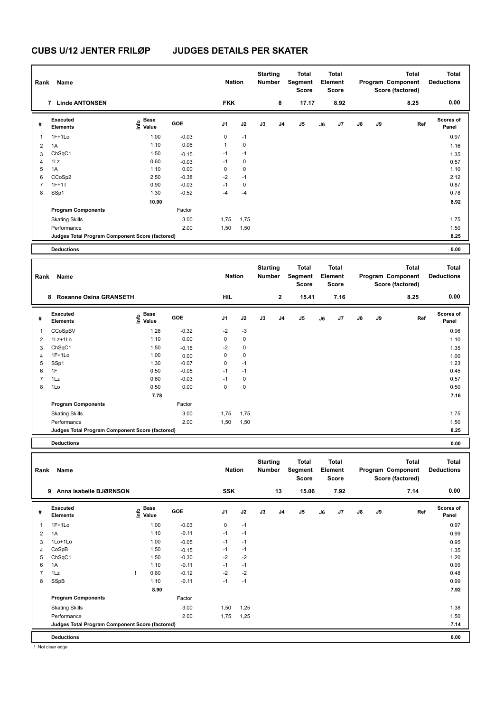| Rank           | Name                                            |                    |            | <b>Nation</b> |             | <b>Starting</b><br><b>Number</b> |                | <b>Total</b><br>Segment<br><b>Score</b> |    | <b>Total</b><br>Element<br><b>Score</b> |    |    | <b>Total</b><br>Program Component<br>Score (factored) | <b>Total</b><br><b>Deductions</b> |
|----------------|-------------------------------------------------|--------------------|------------|---------------|-------------|----------------------------------|----------------|-----------------------------------------|----|-----------------------------------------|----|----|-------------------------------------------------------|-----------------------------------|
|                | 7 Linde ANTONSEN                                |                    |            | <b>FKK</b>    |             |                                  | 8              | 17.17                                   |    | 8.92                                    |    |    | 8.25                                                  | 0.00                              |
| #              | Executed<br><b>Elements</b>                     | $\frac{6}{5}$ Base | GOE        | J1            | J2          | J3                               | J <sub>4</sub> | J5                                      | J6 | J7                                      | J8 | J9 | Ref                                                   | Scores of<br>Panel                |
| 1              | $1F+1Lo$                                        | 1.00               | $-0.03$    | $\pmb{0}$     | $-1$        |                                  |                |                                         |    |                                         |    |    |                                                       | 0.97                              |
| $\overline{2}$ | 1A                                              | 1.10               | 0.06       | $\mathbf{1}$  | $\mathbf 0$ |                                  |                |                                         |    |                                         |    |    |                                                       | 1.16                              |
| 3              | ChSqC1                                          | 1.50               | $-0.15$    | $-1$          | $-1$        |                                  |                |                                         |    |                                         |    |    |                                                       | 1.35                              |
| $\overline{4}$ | 1Lz                                             | 0.60               | $-0.03$    | $-1$          | $\mathbf 0$ |                                  |                |                                         |    |                                         |    |    |                                                       | 0.57                              |
| 5              | 1A                                              | 1.10               | 0.00       | $\mathbf 0$   | $\mathbf 0$ |                                  |                |                                         |    |                                         |    |    |                                                       | 1.10                              |
| 6              | CCoSp2                                          | 2.50               | $-0.38$    | $-2$          | $-1$        |                                  |                |                                         |    |                                         |    |    |                                                       | 2.12                              |
| $\overline{7}$ | $1F+1T$                                         | 0.90               | $-0.03$    | $-1$          | $\pmb{0}$   |                                  |                |                                         |    |                                         |    |    |                                                       | 0.87                              |
| 8              | SSp1                                            | 1.30               | $-0.52$    | $-4$          | $-4$        |                                  |                |                                         |    |                                         |    |    |                                                       | 0.78                              |
|                |                                                 | 10.00              |            |               |             |                                  |                |                                         |    |                                         |    |    |                                                       | 8.92                              |
|                | <b>Program Components</b>                       |                    | Factor     |               |             |                                  |                |                                         |    |                                         |    |    |                                                       |                                   |
|                | <b>Skating Skills</b>                           |                    | 3.00       | 1,75          | 1,75        |                                  |                |                                         |    |                                         |    |    |                                                       | 1.75                              |
|                | Performance                                     |                    | 2.00       | 1,50          | 1,50        |                                  |                |                                         |    |                                         |    |    |                                                       | 1.50                              |
|                | Judges Total Program Component Score (factored) |                    |            |               |             |                                  |                |                                         |    |                                         |    |    |                                                       | 8.25                              |
|                | <b>Deductions</b>                               |                    |            |               |             |                                  |                |                                         |    |                                         |    |    |                                                       | 0.00                              |
|                |                                                 |                    |            |               |             |                                  |                |                                         |    |                                         |    |    |                                                       |                                   |
| Rank           | Name                                            |                    |            | <b>Nation</b> |             | <b>Starting</b><br><b>Number</b> |                | <b>Total</b><br>Segment<br><b>Score</b> |    | <b>Total</b><br>Element<br><b>Score</b> |    |    | <b>Total</b><br>Program Component<br>Score (factored) | <b>Total</b><br><b>Deductions</b> |
|                | 8 Rosanne Osina GRANSETH                        |                    |            | <b>HIL</b>    |             |                                  | $\mathbf{2}$   | 15.41                                   |    | 7.16                                    |    |    | 8.25                                                  | 0.00                              |
| #              | <b>Executed</b><br><b>Elements</b>              | e Base<br>⊆ Value  | <b>GOE</b> | J1            | J2          | J3                               | J4             | J5                                      | J6 | J7                                      | J8 | J9 | Ref                                                   | <b>Scores of</b><br>Panel         |
| 1              | CCoSpBV                                         | 1.28               | $-0.32$    | $-2$          | $-3$        |                                  |                |                                         |    |                                         |    |    |                                                       | 0.96                              |
| $\overline{c}$ | 1Lz+1Lo                                         | 1.10               | 0.00       | $\pmb{0}$     | $\pmb{0}$   |                                  |                |                                         |    |                                         |    |    |                                                       | 1.10                              |
| 3              | ChSqC1                                          | 1.50               | $-0.15$    | $-2$          | $\mathbf 0$ |                                  |                |                                         |    |                                         |    |    |                                                       | 1.35                              |
| $\overline{4}$ | $1F+1Lo$                                        | 1.00               | 0.00       | $\mathbf 0$   | $\mathbf 0$ |                                  |                |                                         |    |                                         |    |    |                                                       | 1.00                              |
| 5              | SSp1                                            | 1.30               | $-0.07$    | $\mathbf 0$   | $-1$        |                                  |                |                                         |    |                                         |    |    |                                                       | 1.23                              |
| 6              | 1F                                              | 0.50               | $-0.05$    | $-1$          | $-1$        |                                  |                |                                         |    |                                         |    |    |                                                       | 0.45                              |
| $\overline{7}$ | 1Lz                                             | 0.60               | $-0.03$    | $-1$          | $\pmb{0}$   |                                  |                |                                         |    |                                         |    |    |                                                       | 0.57                              |
| 8              |                                                 |                    |            |               | $\pmb{0}$   |                                  |                |                                         |    |                                         |    |    |                                                       | 0.50                              |
|                | 1Lo                                             | 0.50               | 0.00       | $\Omega$      |             |                                  |                |                                         |    |                                         |    |    |                                                       |                                   |
|                |                                                 | 7.78               |            |               |             |                                  |                |                                         |    |                                         |    |    |                                                       | 7.16                              |
|                | <b>Program Components</b>                       |                    | Factor     |               |             |                                  |                |                                         |    |                                         |    |    |                                                       |                                   |
|                | <b>Skating Skills</b>                           |                    | 3.00       | 1,75          | 1,75        |                                  |                |                                         |    |                                         |    |    |                                                       | 1.75                              |
|                | Performance                                     |                    | 2.00       | 1,50          | 1,50        |                                  |                |                                         |    |                                         |    |    |                                                       | 1.50                              |
|                | Judges Total Program Component Score (factored) |                    |            |               |             |                                  |                |                                         |    |                                         |    |    |                                                       | 8.25                              |
|                | <b>Deductions</b>                               |                    |            |               |             |                                  |                |                                         |    |                                         |    |    |                                                       | 0.00                              |
|                |                                                 |                    |            |               |             |                                  |                |                                         |    |                                         |    |    |                                                       |                                   |

| Rank           | Name                                            |                       |         | <b>Nation</b>  |      | otal tilly<br><b>Number</b> |                | ινιαι<br>Segment<br><b>Score</b> |    | ινιαι<br>Element<br>Score |               |    | ινιαι<br>Program Component<br>Score (factored) | ινιαι<br><b>Deductions</b> |
|----------------|-------------------------------------------------|-----------------------|---------|----------------|------|-----------------------------|----------------|----------------------------------|----|---------------------------|---------------|----|------------------------------------------------|----------------------------|
|                | Anna Isabelle BJØRNSON<br>9                     |                       |         | <b>SSK</b>     |      |                             | 13             | 15.06                            |    | 7.92                      |               |    | 7.14                                           | 0.00                       |
| #              | Executed<br><b>Elements</b>                     | Base<br>lnfo<br>Value | GOE     | J <sub>1</sub> | J2   | J3                          | J <sub>4</sub> | J <sub>5</sub>                   | J6 | J7                        | $\mathsf{J}8$ | J9 | Ref                                            | Scores of<br>Panel         |
| 1              | $1F+1Lo$                                        | 1.00                  | $-0.03$ | 0              | $-1$ |                             |                |                                  |    |                           |               |    |                                                | 0.97                       |
| 2              | 1A                                              | 1.10                  | $-0.11$ | $-1$           | $-1$ |                             |                |                                  |    |                           |               |    |                                                | 0.99                       |
| 3              | 1Lo+1Lo                                         | 1.00                  | $-0.05$ | $-1$           | $-1$ |                             |                |                                  |    |                           |               |    |                                                | 0.95                       |
| 4              | CoSpB                                           | 1.50                  | $-0.15$ | $-1$           | $-1$ |                             |                |                                  |    |                           |               |    |                                                | 1.35                       |
| 5              | ChSqC1                                          | 1.50                  | $-0.30$ | $-2$           | $-2$ |                             |                |                                  |    |                           |               |    |                                                | 1.20                       |
| 6              | 1A                                              | 1.10                  | $-0.11$ | $-1$           | $-1$ |                             |                |                                  |    |                           |               |    |                                                | 0.99                       |
| $\overline{7}$ | 1Lz                                             | 0.60                  | $-0.12$ | $-2$           | $-2$ |                             |                |                                  |    |                           |               |    |                                                | 0.48                       |
| 8              | SSpB                                            | 1.10                  | $-0.11$ | $-1$           | $-1$ |                             |                |                                  |    |                           |               |    |                                                | 0.99                       |
|                |                                                 | 8.90                  |         |                |      |                             |                |                                  |    |                           |               |    |                                                | 7.92                       |
|                | <b>Program Components</b>                       |                       | Factor  |                |      |                             |                |                                  |    |                           |               |    |                                                |                            |
|                | <b>Skating Skills</b>                           |                       | 3.00    | 1,50           | 1,25 |                             |                |                                  |    |                           |               |    |                                                | 1.38                       |
|                | Performance                                     |                       | 2.00    | 1,75           | 1,25 |                             |                |                                  |    |                           |               |    |                                                | 1.50                       |
|                | Judges Total Program Component Score (factored) |                       |         |                |      |                             |                |                                  |    |                           |               |    |                                                | 7.14                       |
|                | <b>Deductions</b>                               |                       |         |                |      |                             |                |                                  |    |                           |               |    |                                                | 0.00                       |

! Not clear edge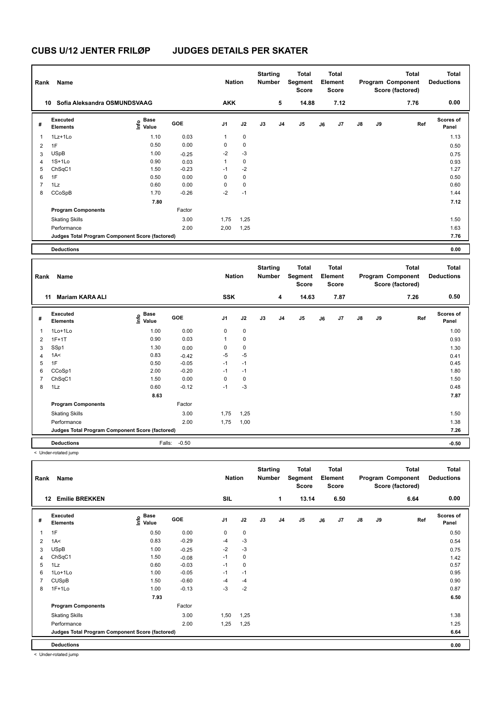| Rank           | Name                                            |                                  |            | <b>Nation</b>  |             | <b>Starting</b><br><b>Number</b> |                | <b>Total</b><br>Segment<br><b>Score</b> |    | <b>Total</b><br>Element<br>Score |               |    | <b>Total</b><br>Program Component<br>Score (factored) | <b>Total</b><br><b>Deductions</b> |
|----------------|-------------------------------------------------|----------------------------------|------------|----------------|-------------|----------------------------------|----------------|-----------------------------------------|----|----------------------------------|---------------|----|-------------------------------------------------------|-----------------------------------|
|                | Sofia Aleksandra OSMUNDSVAAG<br>10              |                                  |            | <b>AKK</b>     |             |                                  | 5              | 14.88                                   |    | 7.12                             |               |    | 7.76                                                  | 0.00                              |
| #              | Executed<br><b>Elements</b>                     | <b>Base</b><br>o Base<br>⊆ Value | <b>GOE</b> | J <sub>1</sub> | J2          | J3                               | J <sub>4</sub> | J <sub>5</sub>                          | J6 | J7                               | $\mathsf{J}8$ | J9 | Ref                                                   | <b>Scores of</b><br>Panel         |
| $\overline{1}$ | 1Lz+1Lo                                         | 1.10                             | 0.03       | $\mathbf{1}$   | 0           |                                  |                |                                         |    |                                  |               |    |                                                       | 1.13                              |
| $\overline{2}$ | 1F                                              | 0.50                             | 0.00       | 0              | $\mathbf 0$ |                                  |                |                                         |    |                                  |               |    |                                                       | 0.50                              |
| 3              | <b>USpB</b>                                     | 1.00                             | $-0.25$    | $-2$           | $-3$        |                                  |                |                                         |    |                                  |               |    |                                                       | 0.75                              |
| $\overline{4}$ | $1S+1Lo$                                        | 0.90                             | 0.03       | $\mathbf{1}$   | $\mathbf 0$ |                                  |                |                                         |    |                                  |               |    |                                                       | 0.93                              |
| 5              | ChSqC1                                          | 1.50                             | $-0.23$    | $-1$           | $-2$        |                                  |                |                                         |    |                                  |               |    |                                                       | 1.27                              |
| 6              | 1F                                              | 0.50                             | 0.00       | 0              | 0           |                                  |                |                                         |    |                                  |               |    |                                                       | 0.50                              |
| 7              | 1Lz                                             | 0.60                             | 0.00       | 0              | 0           |                                  |                |                                         |    |                                  |               |    |                                                       | 0.60                              |
| 8              | CCoSpB                                          | 1.70                             | $-0.26$    | $-2$           | $-1$        |                                  |                |                                         |    |                                  |               |    |                                                       | 1.44                              |
|                |                                                 | 7.80                             |            |                |             |                                  |                |                                         |    |                                  |               |    |                                                       | 7.12                              |
|                | <b>Program Components</b>                       |                                  | Factor     |                |             |                                  |                |                                         |    |                                  |               |    |                                                       |                                   |
|                | <b>Skating Skills</b>                           |                                  | 3.00       | 1,75           | 1,25        |                                  |                |                                         |    |                                  |               |    |                                                       | 1.50                              |
|                | Performance                                     |                                  | 2.00       | 2,00           | 1,25        |                                  |                |                                         |    |                                  |               |    |                                                       | 1.63                              |
|                | Judges Total Program Component Score (factored) |                                  |            |                |             |                                  |                |                                         |    |                                  |               |    |                                                       | 7.76                              |
|                | <b>Deductions</b>                               |                                  |            |                |             |                                  |                |                                         |    |                                  |               |    |                                                       | 0.00                              |
|                |                                                 |                                  |            |                |             |                                  |                |                                         |    |                                  |               |    |                                                       |                                   |

| Rank | Name                                            |                           |         | <b>Nation</b>  |             | <b>Starting</b><br><b>Number</b> |                | <b>Total</b><br>Segment<br>Score |    | <b>Total</b><br>Element<br><b>Score</b> |               |    | <b>Total</b><br>Program Component<br>Score (factored) | <b>Total</b><br><b>Deductions</b> |
|------|-------------------------------------------------|---------------------------|---------|----------------|-------------|----------------------------------|----------------|----------------------------------|----|-----------------------------------------|---------------|----|-------------------------------------------------------|-----------------------------------|
|      | <b>Mariam KARA ALI</b><br>11                    |                           |         | <b>SSK</b>     |             |                                  | 4              | 14.63                            |    | 7.87                                    |               |    | 7.26                                                  | 0.50                              |
| #    | <b>Executed</b><br><b>Elements</b>              | Base<br>e Base<br>E Value | GOE     | J <sub>1</sub> | J2          | J3                               | J <sub>4</sub> | J5                               | J6 | J7                                      | $\mathsf{J}8$ | J9 | Ref                                                   | Scores of<br>Panel                |
|      | 1Lo+1Lo                                         | 1.00                      | 0.00    | 0              | $\mathbf 0$ |                                  |                |                                  |    |                                         |               |    |                                                       | 1.00                              |
| 2    | $1F+1T$                                         | 0.90                      | 0.03    | 1              | $\pmb{0}$   |                                  |                |                                  |    |                                         |               |    |                                                       | 0.93                              |
| 3    | SSp1                                            | 1.30                      | 0.00    | 0              | $\pmb{0}$   |                                  |                |                                  |    |                                         |               |    |                                                       | 1.30                              |
| 4    | 1A<                                             | 0.83                      | $-0.42$ | $-5$           | $-5$        |                                  |                |                                  |    |                                         |               |    |                                                       | 0.41                              |
| 5    | 1F                                              | 0.50                      | $-0.05$ | $-1$           | $-1$        |                                  |                |                                  |    |                                         |               |    |                                                       | 0.45                              |
| 6    | CCoSp1                                          | 2.00                      | $-0.20$ | $-1$           | $-1$        |                                  |                |                                  |    |                                         |               |    |                                                       | 1.80                              |
|      | ChSqC1                                          | 1.50                      | 0.00    | 0              | 0           |                                  |                |                                  |    |                                         |               |    |                                                       | 1.50                              |
| 8    | 1Lz                                             | 0.60                      | $-0.12$ | $-1$           | $-3$        |                                  |                |                                  |    |                                         |               |    |                                                       | 0.48                              |
|      |                                                 | 8.63                      |         |                |             |                                  |                |                                  |    |                                         |               |    |                                                       | 7.87                              |
|      | <b>Program Components</b>                       |                           | Factor  |                |             |                                  |                |                                  |    |                                         |               |    |                                                       |                                   |
|      | <b>Skating Skills</b>                           |                           | 3.00    | 1,75           | 1,25        |                                  |                |                                  |    |                                         |               |    |                                                       | 1.50                              |
|      | Performance                                     |                           | 2.00    | 1,75           | 1,00        |                                  |                |                                  |    |                                         |               |    |                                                       | 1.38                              |
|      | Judges Total Program Component Score (factored) |                           |         |                |             |                                  |                |                                  |    |                                         |               |    |                                                       | 7.26                              |
|      | <b>Deductions</b>                               | Falls:                    | $-0.50$ |                |             |                                  |                |                                  |    |                                         |               |    |                                                       | $-0.50$                           |

< Under-rotated jump

| Rank           | Name                                            |                           |            | <b>Nation</b>  |             | <b>Starting</b><br><b>Number</b> |                | <b>Total</b><br>Segment<br><b>Score</b> |    | Total<br>Element<br><b>Score</b> |               |    | <b>Total</b><br>Program Component<br>Score (factored) | <b>Total</b><br><b>Deductions</b> |
|----------------|-------------------------------------------------|---------------------------|------------|----------------|-------------|----------------------------------|----------------|-----------------------------------------|----|----------------------------------|---------------|----|-------------------------------------------------------|-----------------------------------|
| 12             | <b>Emilie BREKKEN</b>                           |                           |            | SIL            |             |                                  | 1              | 13.14                                   |    | 6.50                             |               |    | 6.64                                                  | 0.00                              |
| #              | Executed<br>Elements                            | Base<br>e Base<br>E Value | <b>GOE</b> | J <sub>1</sub> | J2          | J3                               | J <sub>4</sub> | J5                                      | J6 | J7                               | $\mathsf{J}8$ | J9 | Ref                                                   | <b>Scores of</b><br>Panel         |
| 1              | 1F                                              | 0.50                      | 0.00       | 0              | $\mathbf 0$ |                                  |                |                                         |    |                                  |               |    |                                                       | 0.50                              |
| $\overline{2}$ | 1A<                                             | 0.83                      | $-0.29$    | $-4$           | $-3$        |                                  |                |                                         |    |                                  |               |    |                                                       | 0.54                              |
| 3              | <b>USpB</b>                                     | 1.00                      | $-0.25$    | $-2$           | $-3$        |                                  |                |                                         |    |                                  |               |    |                                                       | 0.75                              |
| 4              | ChSqC1                                          | 1.50                      | $-0.08$    | $-1$           | 0           |                                  |                |                                         |    |                                  |               |    |                                                       | 1.42                              |
| 5              | 1Lz                                             | 0.60                      | $-0.03$    | $-1$           | 0           |                                  |                |                                         |    |                                  |               |    |                                                       | 0.57                              |
| 6              | 1Lo+1Lo                                         | 1.00                      | $-0.05$    | $-1$           | $-1$        |                                  |                |                                         |    |                                  |               |    |                                                       | 0.95                              |
| $\overline{7}$ | <b>CUSpB</b>                                    | 1.50                      | $-0.60$    | $-4$           | $-4$        |                                  |                |                                         |    |                                  |               |    |                                                       | 0.90                              |
| 8              | $1F+1Lo$                                        | 1.00                      | $-0.13$    | $-3$           | $-2$        |                                  |                |                                         |    |                                  |               |    |                                                       | 0.87                              |
|                |                                                 | 7.93                      |            |                |             |                                  |                |                                         |    |                                  |               |    |                                                       | 6.50                              |
|                | <b>Program Components</b>                       |                           | Factor     |                |             |                                  |                |                                         |    |                                  |               |    |                                                       |                                   |
|                | <b>Skating Skills</b>                           |                           | 3.00       | 1,50           | 1,25        |                                  |                |                                         |    |                                  |               |    |                                                       | 1.38                              |
|                | Performance                                     |                           | 2.00       | 1,25           | 1,25        |                                  |                |                                         |    |                                  |               |    |                                                       | 1.25                              |
|                | Judges Total Program Component Score (factored) |                           |            |                |             |                                  |                |                                         |    |                                  |               |    |                                                       | 6.64                              |
|                | <b>Deductions</b>                               |                           |            |                |             |                                  |                |                                         |    |                                  |               |    |                                                       | 0.00                              |

< Under-rotated jump